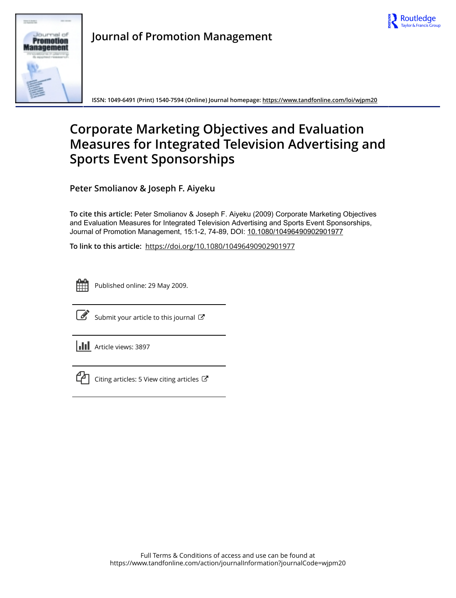



**Journal of Promotion Management**

**ISSN: 1049-6491 (Print) 1540-7594 (Online) Journal homepage:<https://www.tandfonline.com/loi/wjpm20>**

# **Corporate Marketing Objectives and Evaluation Measures for Integrated Television Advertising and Sports Event Sponsorships**

**Peter Smolianov & Joseph F. Aiyeku**

**To cite this article:** Peter Smolianov & Joseph F. Aiyeku (2009) Corporate Marketing Objectives and Evaluation Measures for Integrated Television Advertising and Sports Event Sponsorships, Journal of Promotion Management, 15:1-2, 74-89, DOI: [10.1080/10496490902901977](https://www.tandfonline.com/action/showCitFormats?doi=10.1080/10496490902901977)

**To link to this article:** <https://doi.org/10.1080/10496490902901977>



Published online: 29 May 2009.



 $\overrightarrow{S}$  [Submit your article to this journal](https://www.tandfonline.com/action/authorSubmission?journalCode=wjpm20&show=instructions)  $\overrightarrow{S}$ 





 $\mathcal{C}$  [Citing articles: 5 View citing articles](https://www.tandfonline.com/doi/citedby/10.1080/10496490902901977#tabModule)  $\mathcal{C}$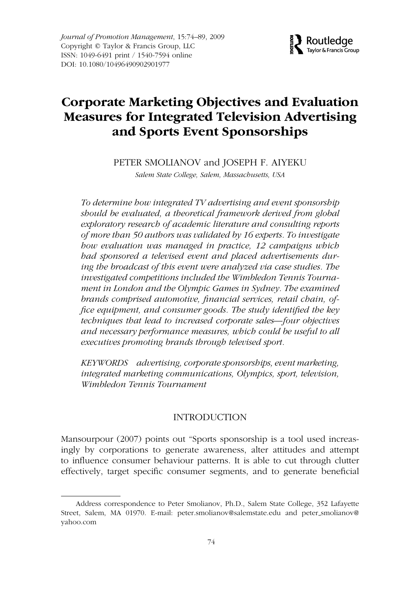

## **Corporate Marketing Objectives and Evaluation Measures for Integrated Television Advertising and Sports Event Sponsorships**

PETER SMOLIANOV and JOSEPH F. AIYEKU *Salem State College, Salem, Massachusetts, USA*

*To determine how integrated TV advertising and event sponsorship should be evaluated, a theoretical framework derived from global exploratory research of academic literature and consulting reports of more than 50 authors was validated by 16 experts. To investigate how evaluation was managed in practice, 12 campaigns which had sponsored a televised event and placed advertisements during the broadcast of this event were analyzed via case studies. The investigated competitions included the Wimbledon Tennis Tournament in London and the Olympic Games in Sydney. The examined brands comprised automotive, financial services, retail chain, office equipment, and consumer goods. The study identified the key techniques that lead to increased corporate sales—four objectives and necessary performance measures, which could be useful to all executives promoting brands through televised sport.*

*KEYWORDS advertising, corporate sponsorships, event marketing, integrated marketing communications, Olympics, sport, television, Wimbledon Tennis Tournament*

### INTRODUCTION

Mansourpour (2007) points out "Sports sponsorship is a tool used increasingly by corporations to generate awareness, alter attitudes and attempt to influence consumer behaviour patterns. It is able to cut through clutter effectively, target specific consumer segments, and to generate beneficial

Address correspondence to Peter Smolianov, Ph.D., Salem State College, 352 Lafayette Street, Salem, MA 01970. E-mail: peter.smolianov@salemstate.edu and peter smolianov@ yahoo.com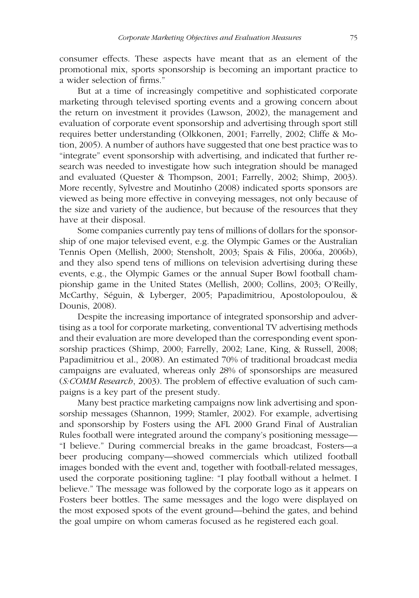consumer effects. These aspects have meant that as an element of the promotional mix, sports sponsorship is becoming an important practice to a wider selection of firms."

But at a time of increasingly competitive and sophisticated corporate marketing through televised sporting events and a growing concern about the return on investment it provides (Lawson, 2002), the management and evaluation of corporate event sponsorship and advertising through sport still requires better understanding (Olkkonen, 2001; Farrelly, 2002; Cliffe & Motion, 2005). A number of authors have suggested that one best practice was to "integrate" event sponsorship with advertising, and indicated that further research was needed to investigate how such integration should be managed and evaluated (Quester & Thompson, 2001; Farrelly, 2002; Shimp, 2003). More recently, Sylvestre and Moutinho (2008) indicated sports sponsors are viewed as being more effective in conveying messages, not only because of the size and variety of the audience, but because of the resources that they have at their disposal.

Some companies currently pay tens of millions of dollars for the sponsorship of one major televised event, e.g. the Olympic Games or the Australian Tennis Open (Mellish, 2000; Stensholt, 2003; Spais & Filis, 2006a, 2006b), and they also spend tens of millions on television advertising during these events, e.g., the Olympic Games or the annual Super Bowl football championship game in the United States (Mellish, 2000; Collins, 2003; O'Reilly, McCarthy, Séguin, & Lyberger, 2005; Papadimitriou, Apostolopoulou, & Dounis, 2008).

Despite the increasing importance of integrated sponsorship and advertising as a tool for corporate marketing, conventional TV advertising methods and their evaluation are more developed than the corresponding event sponsorship practices (Shimp, 2000; Farrelly, 2002; Lane, King, & Russell, 2008; Papadimitriou et al., 2008). An estimated 70% of traditional broadcast media campaigns are evaluated, whereas only 28% of sponsorships are measured (*S:COMM Research*, 2003). The problem of effective evaluation of such campaigns is a key part of the present study.

Many best practice marketing campaigns now link advertising and sponsorship messages (Shannon, 1999; Stamler, 2002). For example, advertising and sponsorship by Fosters using the AFL 2000 Grand Final of Australian Rules football were integrated around the company's positioning message— "I believe." During commercial breaks in the game broadcast, Fosters—a beer producing company—showed commercials which utilized football images bonded with the event and, together with football-related messages, used the corporate positioning tagline: "I play football without a helmet. I believe." The message was followed by the corporate logo as it appears on Fosters beer bottles. The same messages and the logo were displayed on the most exposed spots of the event ground—behind the gates, and behind the goal umpire on whom cameras focused as he registered each goal.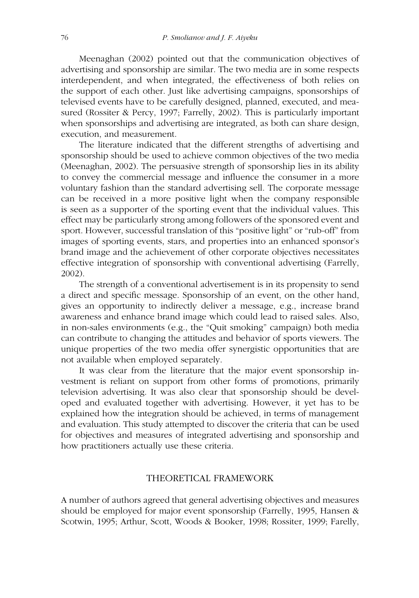Meenaghan (2002) pointed out that the communication objectives of advertising and sponsorship are similar. The two media are in some respects interdependent, and when integrated, the effectiveness of both relies on the support of each other. Just like advertising campaigns, sponsorships of televised events have to be carefully designed, planned, executed, and measured (Rossiter & Percy, 1997; Farrelly, 2002). This is particularly important when sponsorships and advertising are integrated, as both can share design, execution, and measurement.

The literature indicated that the different strengths of advertising and sponsorship should be used to achieve common objectives of the two media (Meenaghan, 2002). The persuasive strength of sponsorship lies in its ability to convey the commercial message and influence the consumer in a more voluntary fashion than the standard advertising sell. The corporate message can be received in a more positive light when the company responsible is seen as a supporter of the sporting event that the individual values. This effect may be particularly strong among followers of the sponsored event and sport. However, successful translation of this "positive light" or "rub-off" from images of sporting events, stars, and properties into an enhanced sponsor's brand image and the achievement of other corporate objectives necessitates effective integration of sponsorship with conventional advertising (Farrelly, 2002).

The strength of a conventional advertisement is in its propensity to send a direct and specific message. Sponsorship of an event, on the other hand, gives an opportunity to indirectly deliver a message, e.g., increase brand awareness and enhance brand image which could lead to raised sales. Also, in non-sales environments (e.g., the "Quit smoking" campaign) both media can contribute to changing the attitudes and behavior of sports viewers. The unique properties of the two media offer synergistic opportunities that are not available when employed separately.

It was clear from the literature that the major event sponsorship investment is reliant on support from other forms of promotions, primarily television advertising. It was also clear that sponsorship should be developed and evaluated together with advertising. However, it yet has to be explained how the integration should be achieved, in terms of management and evaluation. This study attempted to discover the criteria that can be used for objectives and measures of integrated advertising and sponsorship and how practitioners actually use these criteria.

#### THEORETICAL FRAMEWORK

A number of authors agreed that general advertising objectives and measures should be employed for major event sponsorship (Farrelly, 1995, Hansen & Scotwin, 1995; Arthur, Scott, Woods & Booker, 1998; Rossiter, 1999; Farelly,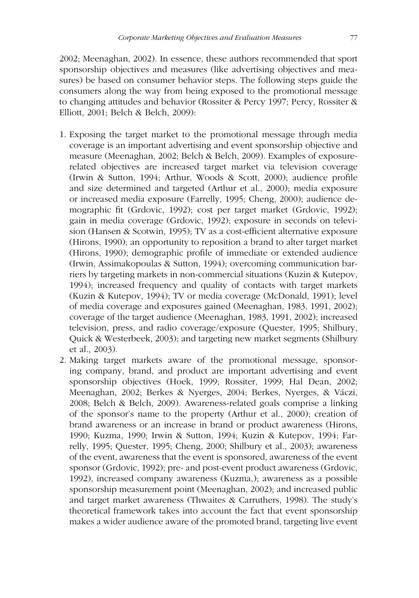2002; Meenaghan, 2002). In essence, these authors recommended that sport sponsorship objectives and measures (like advertising objectives and measures) be based on consumer behavior steps. The following steps guide the consumers along the way from being exposed to the promotional message to changing attitudes and behavior (Rossiter & Percy 1997; Percy, Rossiter & Elliott, 2001; Belch & Belch, 2009):

- 1. Exposing the target market to the promotional message through media coverage is an important advertising and event sponsorship objective and measure (Meenaghan, 2002; Belch & Belch, 2009). Examples of exposurerelated objectives are increased target market via television coverage (Irwin & Sutton, 1994; Arthur, Woods & Scott, 2000); audience profile and size determined and targeted (Arthur et al., 2000); media exposure or increased media exposure (Farrelly, 1995; Cheng, 2000); audience demographic fit (Grdovic, 1992); cost per target market (Grdovic, 1992); gain in media coverage (Grdovic, 1992); exposure in seconds on television (Hansen & Scotwin, 1995); TV as a cost-efficient alternative exposure (Hirons, 1990); an opportunity to reposition a brand to alter target market (Hirons, 1990); demographic profile of immediate or extended audience (Irwin, Assimakopoulas & Sutton, 1994); overcoming communication barriers by targeting markets in non-commercial situations (Kuzin & Kutepov, 1994); increased frequency and quality of contacts with target markets (Kuzin & Kutepov, 1994); TV or media coverage (McDonald, 1991); level of media coverage and exposures gained (Meenaghan, 1983, 1991, 2002); coverage of the target audience (Meenaghan, 1983, 1991, 2002); increased television, press, and radio coverage/exposure (Quester, 1995; Shilbury, Quick & Westerbeek, 2003); and targeting new market segments (Shilbury et al., 2003).
- 2. Making target markets aware of the promotional message, sponsoring company, brand, and product are important advertising and event sponsorship objectives (Hoek, 1999; Rossiter, 1999; Hal Dean, 2002; Meenaghan, 2002; Berkes & Nyerges, 2004; Berkes, Nyerges, & Vaczi, ´ 2008; Belch & Belch, 2009). Awareness-related goals comprise a linking of the sponsor's name to the property (Arthur et al., 2000); creation of brand awareness or an increase in brand or product awareness (Hirons, 1990; Kuzma, 1990; Irwin & Sutton, 1994; Kuzin & Kutepov, 1994; Farrelly, 1995; Quester, 1995; Cheng, 2000; Shilbury et al., 2003); awareness of the event, awareness that the event is sponsored, awareness of the event sponsor (Grdovic, 1992); pre- and post-event product awareness (Grdovic, 1992), increased company awareness (Kuzma,); awareness as a possible sponsorship measurement point (Meenaghan, 2002); and increased public and target market awareness (Thwaites & Carruthers, 1998). The study's theoretical framework takes into account the fact that event sponsorship makes a wider audience aware of the promoted brand, targeting live event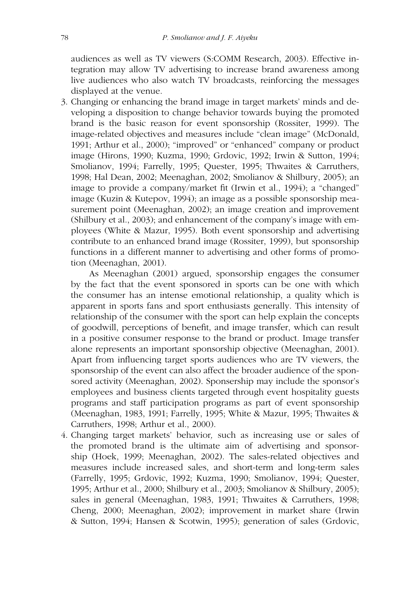audiences as well as TV viewers (S:COMM Research, 2003). Effective integration may allow TV advertising to increase brand awareness among live audiences who also watch TV broadcasts, reinforcing the messages displayed at the venue.

3. Changing or enhancing the brand image in target markets' minds and developing a disposition to change behavior towards buying the promoted brand is the basic reason for event sponsorship (Rossiter, 1999). The image-related objectives and measures include "clean image" (McDonald, 1991; Arthur et al., 2000); "improved" or "enhanced" company or product image (Hirons, 1990; Kuzma, 1990; Grdovic, 1992; Irwin & Sutton, 1994; Smolianov, 1994; Farrelly, 1995; Quester, 1995; Thwaites & Carruthers, 1998; Hal Dean, 2002; Meenaghan, 2002; Smolianov & Shilbury, 2005); an image to provide a company/market fit (Irwin et al., 1994); a "changed" image (Kuzin & Kutepov, 1994); an image as a possible sponsorship measurement point (Meenaghan, 2002); an image creation and improvement (Shilbury et al., 2003); and enhancement of the company's image with employees (White & Mazur, 1995). Both event sponsorship and advertising contribute to an enhanced brand image (Rossiter, 1999), but sponsorship functions in a different manner to advertising and other forms of promotion (Meenaghan, 2001).

As Meenaghan (2001) argued, sponsorship engages the consumer by the fact that the event sponsored in sports can be one with which the consumer has an intense emotional relationship, a quality which is apparent in sports fans and sport enthusiasts generally. This intensity of relationship of the consumer with the sport can help explain the concepts of goodwill, perceptions of benefit, and image transfer, which can result in a positive consumer response to the brand or product. Image transfer alone represents an important sponsorship objective (Meenaghan, 2001). Apart from influencing target sports audiences who are TV viewers, the sponsorship of the event can also affect the broader audience of the sponsored activity (Meenaghan, 2002). Sponsership may include the sponsor's employees and business clients targeted through event hospitality guests programs and staff participation programs as part of event sponsorship (Meenaghan, 1983, 1991; Farrelly, 1995; White & Mazur, 1995; Thwaites & Carruthers, 1998; Arthur et al., 2000).

4. Changing target markets' behavior*,* such as increasing use or sales of the promoted brand is the ultimate aim of advertising and sponsorship (Hoek, 1999; Meenaghan, 2002). The sales-related objectives and measures include increased sales, and short-term and long-term sales (Farrelly, 1995; Grdovic, 1992; Kuzma, 1990; Smolianov, 1994; Quester, 1995; Arthur et al., 2000; Shilbury et al., 2003; Smolianov & Shilbury, 2005); sales in general (Meenaghan, 1983, 1991; Thwaites & Carruthers, 1998; Cheng, 2000; Meenaghan, 2002); improvement in market share (Irwin & Sutton, 1994; Hansen & Scotwin, 1995); generation of sales (Grdovic,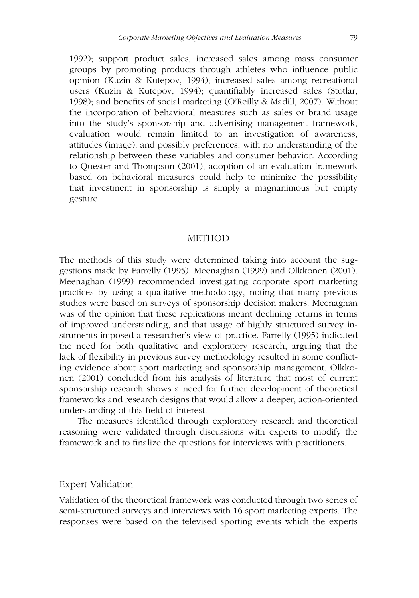1992); support product sales, increased sales among mass consumer groups by promoting products through athletes who influence public opinion (Kuzin & Kutepov, 1994); increased sales among recreational users (Kuzin & Kutepov, 1994); quantifiably increased sales (Stotlar, 1998); and benefits of social marketing (O'Reilly & Madill, 2007). Without the incorporation of behavioral measures such as sales or brand usage into the study's sponsorship and advertising management framework, evaluation would remain limited to an investigation of awareness, attitudes (image), and possibly preferences, with no understanding of the relationship between these variables and consumer behavior. According to Quester and Thompson (2001), adoption of an evaluation framework based on behavioral measures could help to minimize the possibility that investment in sponsorship is simply a magnanimous but empty gesture.

#### **METHOD**

The methods of this study were determined taking into account the suggestions made by Farrelly (1995), Meenaghan (1999) and Olkkonen (2001). Meenaghan (1999) recommended investigating corporate sport marketing practices by using a qualitative methodology, noting that many previous studies were based on surveys of sponsorship decision makers. Meenaghan was of the opinion that these replications meant declining returns in terms of improved understanding, and that usage of highly structured survey instruments imposed a researcher's view of practice. Farrelly (1995) indicated the need for both qualitative and exploratory research, arguing that the lack of flexibility in previous survey methodology resulted in some conflicting evidence about sport marketing and sponsorship management. Olkkonen (2001) concluded from his analysis of literature that most of current sponsorship research shows a need for further development of theoretical frameworks and research designs that would allow a deeper, action-oriented understanding of this field of interest.

The measures identified through exploratory research and theoretical reasoning were validated through discussions with experts to modify the framework and to finalize the questions for interviews with practitioners.

#### Expert Validation

Validation of the theoretical framework was conducted through two series of semi-structured surveys and interviews with 16 sport marketing experts. The responses were based on the televised sporting events which the experts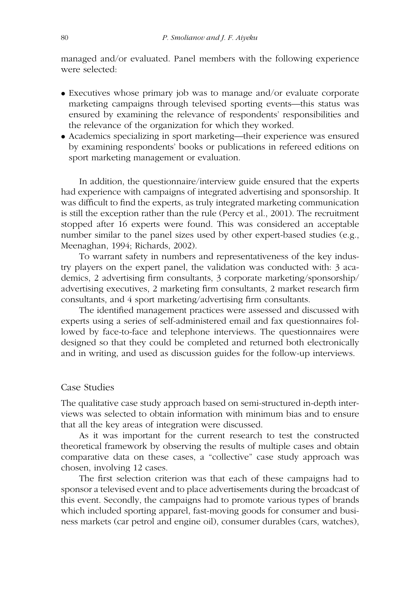managed and/or evaluated. Panel members with the following experience were selected:

- Executives whose primary job was to manage and/or evaluate corporate marketing campaigns through televised sporting events—this status was ensured by examining the relevance of respondents' responsibilities and the relevance of the organization for which they worked.
- Academics specializing in sport marketing—their experience was ensured by examining respondents' books or publications in refereed editions on sport marketing management or evaluation.

In addition, the questionnaire/interview guide ensured that the experts had experience with campaigns of integrated advertising and sponsorship. It was difficult to find the experts, as truly integrated marketing communication is still the exception rather than the rule (Percy et al., 2001). The recruitment stopped after 16 experts were found. This was considered an acceptable number similar to the panel sizes used by other expert-based studies (e.g., Meenaghan, 1994; Richards, 2002).

To warrant safety in numbers and representativeness of the key industry players on the expert panel, the validation was conducted with: 3 academics, 2 advertising firm consultants, 3 corporate marketing/sponsorship/ advertising executives, 2 marketing firm consultants, 2 market research firm consultants, and 4 sport marketing/advertising firm consultants.

The identified management practices were assessed and discussed with experts using a series of self-administered email and fax questionnaires followed by face-to-face and telephone interviews. The questionnaires were designed so that they could be completed and returned both electronically and in writing, and used as discussion guides for the follow-up interviews.

#### Case Studies

The qualitative case study approach based on semi-structured in-depth interviews was selected to obtain information with minimum bias and to ensure that all the key areas of integration were discussed.

As it was important for the current research to test the constructed theoretical framework by observing the results of multiple cases and obtain comparative data on these cases, a "collective" case study approach was chosen, involving 12 cases.

The first selection criterion was that each of these campaigns had to sponsor a televised event and to place advertisements during the broadcast of this event. Secondly, the campaigns had to promote various types of brands which included sporting apparel, fast-moving goods for consumer and business markets (car petrol and engine oil), consumer durables (cars, watches),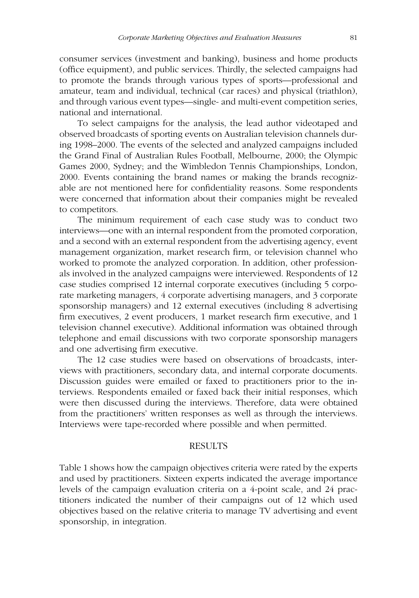consumer services (investment and banking), business and home products (office equipment), and public services. Thirdly, the selected campaigns had to promote the brands through various types of sports—professional and amateur, team and individual, technical (car races) and physical (triathlon), and through various event types—single- and multi-event competition series, national and international.

To select campaigns for the analysis, the lead author videotaped and observed broadcasts of sporting events on Australian television channels during 1998–2000. The events of the selected and analyzed campaigns included the Grand Final of Australian Rules Football, Melbourne, 2000; the Olympic Games 2000, Sydney; and the Wimbledon Tennis Championships, London, 2000. Events containing the brand names or making the brands recognizable are not mentioned here for confidentiality reasons. Some respondents were concerned that information about their companies might be revealed to competitors.

The minimum requirement of each case study was to conduct two interviews—one with an internal respondent from the promoted corporation, and a second with an external respondent from the advertising agency, event management organization, market research firm, or television channel who worked to promote the analyzed corporation. In addition, other professionals involved in the analyzed campaigns were interviewed. Respondents of 12 case studies comprised 12 internal corporate executives (including 5 corporate marketing managers, 4 corporate advertising managers, and 3 corporate sponsorship managers) and 12 external executives (including 8 advertising firm executives, 2 event producers, 1 market research firm executive, and 1 television channel executive). Additional information was obtained through telephone and email discussions with two corporate sponsorship managers and one advertising firm executive.

The 12 case studies were based on observations of broadcasts, interviews with practitioners, secondary data, and internal corporate documents. Discussion guides were emailed or faxed to practitioners prior to the interviews. Respondents emailed or faxed back their initial responses, which were then discussed during the interviews. Therefore, data were obtained from the practitioners' written responses as well as through the interviews. Interviews were tape-recorded where possible and when permitted.

#### RESULTS

Table 1 shows how the campaign objectives criteria were rated by the experts and used by practitioners. Sixteen experts indicated the average importance levels of the campaign evaluation criteria on a 4-point scale, and 24 practitioners indicated the number of their campaigns out of 12 which used objectives based on the relative criteria to manage TV advertising and event sponsorship, in integration.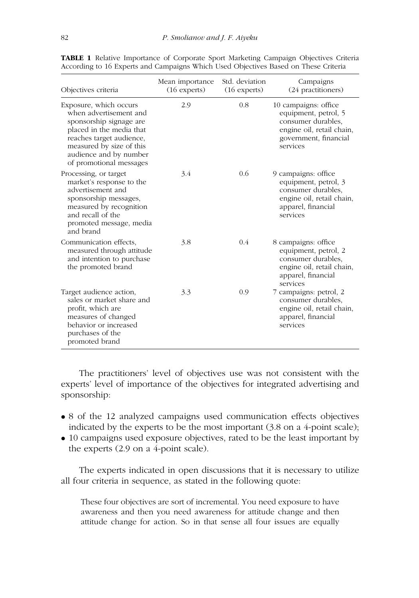| Objectives criteria                                                                                                                                                                                                  | Mean importance<br>$(16$ experts) | Std. deviation<br>$(16$ experts) | Campaigns<br>(24 practitioners)                                                                                                      |
|----------------------------------------------------------------------------------------------------------------------------------------------------------------------------------------------------------------------|-----------------------------------|----------------------------------|--------------------------------------------------------------------------------------------------------------------------------------|
| Exposure, which occurs<br>when advertisement and<br>sponsorship signage are<br>placed in the media that<br>reaches target audience,<br>measured by size of this<br>audience and by number<br>of promotional messages | 2.9                               | 0.8                              | 10 campaigns: office<br>equipment, petrol, 5<br>consumer durables.<br>engine oil, retail chain,<br>government, financial<br>services |
| Processing, or target<br>market's response to the<br>advertisement and<br>sponsorship messages,<br>measured by recognition<br>and recall of the<br>promoted message, media<br>and brand                              | 3.4                               | 0.6                              | 9 campaigns: office<br>equipment, petrol, 3<br>consumer durables,<br>engine oil, retail chain,<br>apparel, financial<br>services     |
| Communication effects,<br>measured through attitude<br>and intention to purchase<br>the promoted brand                                                                                                               | 3.8                               | 0.4                              | 8 campaigns: office<br>equipment, petrol, 2<br>consumer durables,<br>engine oil, retail chain,<br>apparel, financial<br>services     |
| Target audience action,<br>sales or market share and<br>profit, which are<br>measures of changed<br>behavior or increased<br>purchases of the<br>promoted brand                                                      | 3.3                               | 0.9                              | 7 campaigns: petrol, 2<br>consumer durables,<br>engine oil, retail chain,<br>apparel, financial<br>services                          |

**TABLE 1** Relative Importance of Corporate Sport Marketing Campaign Objectives Criteria According to 16 Experts and Campaigns Which Used Objectives Based on These Criteria

The practitioners' level of objectives use was not consistent with the experts' level of importance of the objectives for integrated advertising and sponsorship:

- 8 of the 12 analyzed campaigns used communication effects objectives indicated by the experts to be the most important (3.8 on a 4-point scale);
- 10 campaigns used exposure objectives, rated to be the least important by the experts (2.9 on a 4-point scale).

The experts indicated in open discussions that it is necessary to utilize all four criteria in sequence, as stated in the following quote:

These four objectives are sort of incremental. You need exposure to have awareness and then you need awareness for attitude change and then attitude change for action. So in that sense all four issues are equally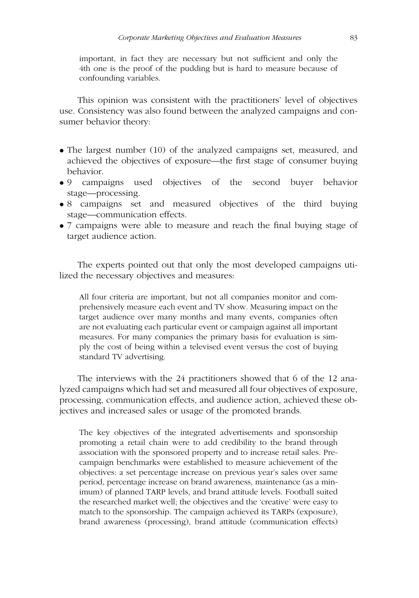important, in fact they are necessary but not sufficient and only the 4th one is the proof of the pudding but is hard to measure because of confounding variables.

This opinion was consistent with the practitioners' level of objectives use. Consistency was also found between the analyzed campaigns and consumer behavior theory:

- The largest number (10) of the analyzed campaigns set, measured, and achieved the objectives of exposure—the first stage of consumer buying behavior.
- 9 campaigns used objectives of the second buyer behavior stage—processing.
- 8 campaigns set and measured objectives of the third buying stage—communication effects.
- 7 campaigns were able to measure and reach the final buying stage of target audience action.

The experts pointed out that only the most developed campaigns utilized the necessary objectives and measures:

All four criteria are important, but not all companies monitor and comprehensively measure each event and TV show. Measuring impact on the target audience over many months and many events, companies often are not evaluating each particular event or campaign against all important measures. For many companies the primary basis for evaluation is simply the cost of being within a televised event versus the cost of buying standard TV advertising.

The interviews with the 24 practitioners showed that 6 of the 12 analyzed campaigns which had set and measured all four objectives of exposure, processing, communication effects, and audience action, achieved these objectives and increased sales or usage of the promoted brands.

The key objectives of the integrated advertisements and sponsorship promoting a retail chain were to add credibility to the brand through association with the sponsored property and to increase retail sales. Precampaign benchmarks were established to measure achievement of the objectives: a set percentage increase on previous year's sales over same period, percentage increase on brand awareness, maintenance (as a minimum) of planned TARP levels, and brand attitude levels. Football suited the researched market well; the objectives and the 'creative' were easy to match to the sponsorship. The campaign achieved its TARPs (exposure), brand awareness (processing), brand attitude (communication effects)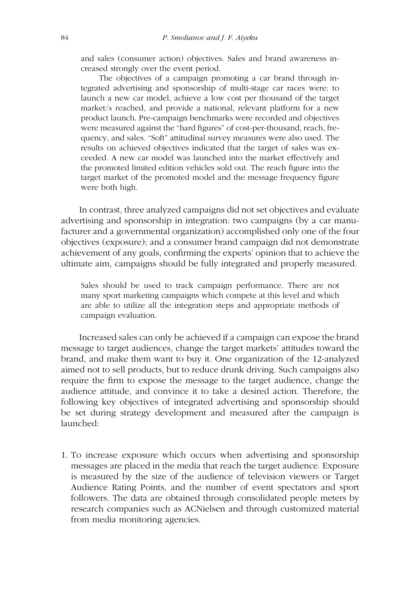and sales (consumer action) objectives. Sales and brand awareness increased strongly over the event period.

The objectives of a campaign promoting a car brand through integrated advertising and sponsorship of multi-stage car races were: to launch a new car model, achieve a low cost per thousand of the target market/s reached, and provide a national, relevant platform for a new product launch. Pre-campaign benchmarks were recorded and objectives were measured against the "hard figures" of cost-per-thousand, reach, frequency, and sales. "Soft" attitudinal survey measures were also used. The results on achieved objectives indicated that the target of sales was exceeded. A new car model was launched into the market effectively and the promoted limited edition vehicles sold out. The reach figure into the target market of the promoted model and the message frequency figure were both high.

In contrast, three analyzed campaigns did not set objectives and evaluate advertising and sponsorship in integration: two campaigns (by a car manufacturer and a governmental organization) accomplished only one of the four objectives (exposure); and a consumer brand campaign did not demonstrate achievement of any goals, confirming the experts' opinion that to achieve the ultimate aim, campaigns should be fully integrated and properly measured.

Sales should be used to track campaign performance. There are not many sport marketing campaigns which compete at this level and which are able to utilize all the integration steps and appropriate methods of campaign evaluation.

Increased sales can only be achieved if a campaign can expose the brand message to target audiences, change the target markets' attitudes toward the brand, and make them want to buy it. One organization of the 12-analyzed aimed not to sell products, but to reduce drunk driving. Such campaigns also require the firm to expose the message to the target audience, change the audience attitude, and convince it to take a desired action. Therefore, the following key objectives of integrated advertising and sponsorship should be set during strategy development and measured after the campaign is launched:

1. To increase exposure which occurs when advertising and sponsorship messages are placed in the media that reach the target audience. Exposure is measured by the size of the audience of television viewers or Target Audience Rating Points, and the number of event spectators and sport followers. The data are obtained through consolidated people meters by research companies such as ACNielsen and through customized material from media monitoring agencies.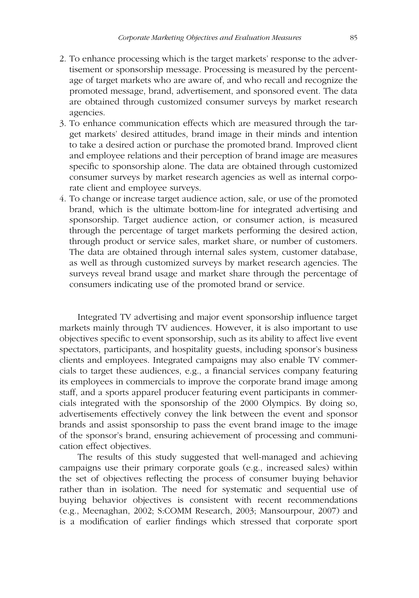- 2. To enhance processing which is the target markets' response to the advertisement or sponsorship message. Processing is measured by the percentage of target markets who are aware of, and who recall and recognize the promoted message, brand, advertisement, and sponsored event. The data are obtained through customized consumer surveys by market research agencies.
- 3. To enhance communication effects which are measured through the target markets' desired attitudes, brand image in their minds and intention to take a desired action or purchase the promoted brand. Improved client and employee relations and their perception of brand image are measures specific to sponsorship alone. The data are obtained through customized consumer surveys by market research agencies as well as internal corporate client and employee surveys.
- 4. To change or increase target audience action, sale, or use of the promoted brand, which is the ultimate bottom-line for integrated advertising and sponsorship. Target audience action, or consumer action, is measured through the percentage of target markets performing the desired action, through product or service sales, market share, or number of customers. The data are obtained through internal sales system, customer database, as well as through customized surveys by market research agencies. The surveys reveal brand usage and market share through the percentage of consumers indicating use of the promoted brand or service.

Integrated TV advertising and major event sponsorship influence target markets mainly through TV audiences. However, it is also important to use objectives specific to event sponsorship, such as its ability to affect live event spectators, participants, and hospitality guests, including sponsor's business clients and employees. Integrated campaigns may also enable TV commercials to target these audiences, e.g., a financial services company featuring its employees in commercials to improve the corporate brand image among staff, and a sports apparel producer featuring event participants in commercials integrated with the sponsorship of the 2000 Olympics. By doing so, advertisements effectively convey the link between the event and sponsor brands and assist sponsorship to pass the event brand image to the image of the sponsor's brand, ensuring achievement of processing and communication effect objectives.

The results of this study suggested that well-managed and achieving campaigns use their primary corporate goals (e.g., increased sales) within the set of objectives reflecting the process of consumer buying behavior rather than in isolation. The need for systematic and sequential use of buying behavior objectives is consistent with recent recommendations (e.g., Meenaghan, 2002; S:COMM Research, 2003; Mansourpour, 2007) and is a modification of earlier findings which stressed that corporate sport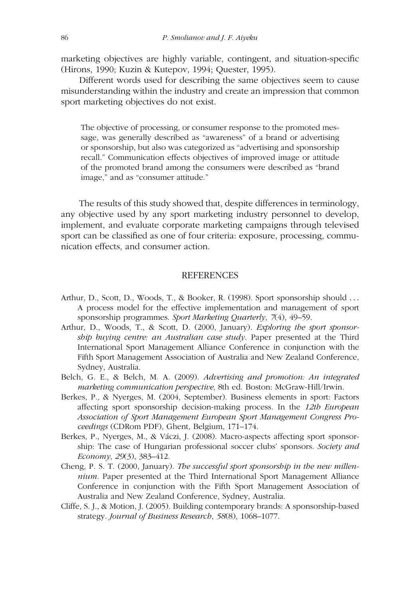marketing objectives are highly variable, contingent, and situation-specific (Hirons, 1990; Kuzin & Kutepov, 1994; Quester, 1995).

Different words used for describing the same objectives seem to cause misunderstanding within the industry and create an impression that common sport marketing objectives do not exist.

The objective of processing, or consumer response to the promoted message, was generally described as "awareness" of a brand or advertising or sponsorship, but also was categorized as "advertising and sponsorship recall." Communication effects objectives of improved image or attitude of the promoted brand among the consumers were described as "brand image," and as "consumer attitude."

The results of this study showed that, despite differences in terminology, any objective used by any sport marketing industry personnel to develop, implement, and evaluate corporate marketing campaigns through televised sport can be classified as one of four criteria: exposure, processing, communication effects, and consumer action.

#### **REFERENCES**

- Arthur, D., Scott, D., Woods, T., & Booker, R. (1998). Sport sponsorship should ... A process model for the effective implementation and management of sport sponsorship programmes. *Sport Marketing Quarterly*, *7*(4), 49–59.
- Arthur, D., Woods, T., & Scott, D. (2000, January). *Exploring the sport sponsorship buying centre: an Australian case study*. Paper presented at the Third International Sport Management Alliance Conference in conjunction with the Fifth Sport Management Association of Australia and New Zealand Conference, Sydney, Australia.
- Belch, G. E., & Belch, M. A. (2009). *Advertising and promotion: An integrated marketing communication perspective,* 8th ed. Boston: McGraw-Hill/Irwin.
- Berkes, P., & Nyerges, M. (2004, September). Business elements in sport: Factors affecting sport sponsorship decision-making process. In the *12th European Association of Sport Management European Sport Management Congress Proceedings* (CDRom PDF), Ghent, Belgium, 171–174.
- Berkes, P., Nyerges, M., & Váczi, J. (2008). Macro-aspects affecting sport sponsorship: The case of Hungarian professional soccer clubs' sponsors. *Society and Economy*, *29*(3), 383–412.
- Cheng, P. S. T. (2000, January). *The successful sport sponsorship in the new millennium*. Paper presented at the Third International Sport Management Alliance Conference in conjunction with the Fifth Sport Management Association of Australia and New Zealand Conference, Sydney, Australia.
- Cliffe, S. J., & Motion, J. (2005). Building contemporary brands: A sponsorship-based strategy. *Journal of Business Research*, *58*(8), 1068–1077.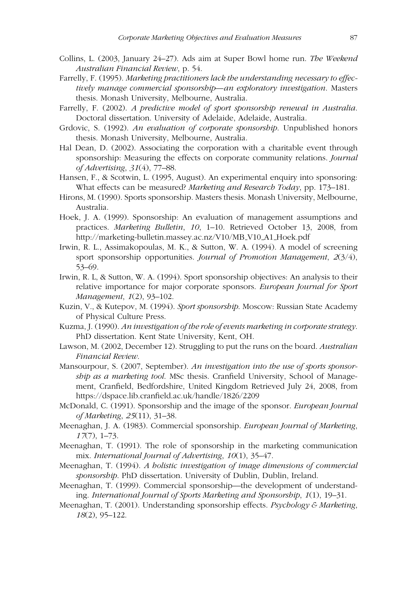- Collins, L. (2003, January 24–27). Ads aim at Super Bowl home run. *The Weekend Australian Financial Review*, p. 54.
- Farrelly, F. (1995). *Marketing practitioners lack the understanding necessary to effectively manage commercial sponsorship—an exploratory investigation*. Masters thesis. Monash University, Melbourne, Australia.
- Farrelly, F. (2002). *A predictive model of sport sponsorship renewal in Australia*. Doctoral dissertation. University of Adelaide, Adelaide, Australia.
- Grdovic, S. (1992). *An evaluation of corporate sponsorship*. Unpublished honors thesis. Monash University, Melbourne, Australia.
- Hal Dean, D. (2002). Associating the corporation with a charitable event through sponsorship: Measuring the effects on corporate community relations. *Journal of Advertising*, *31*(4), 77–88.
- Hansen, F., & Scotwin, L. (1995, August). An experimental enquiry into sponsoring: What effects can be measured? *Marketing and Research Today*, pp. 173–181.
- Hirons, M. (1990). Sports sponsorship. Masters thesis. Monash University, Melbourne, Australia.
- Hoek, J. A. (1999). Sponsorship: An evaluation of management assumptions and practices. *Marketing Bulletin*, *10*, 1–10. Retrieved October 13, 2008, from http://marketing-bulletin.massey.ac.nz/V10/MB V10 A1 Hoek.pdf
- Irwin, R. L., Assimakopoulas, M. K., & Sutton, W. A. (1994). A model of screening sport sponsorship opportunities. *Journal of Promotion Management*, *2*(3/4), 53–69.
- Irwin, R. L, & Sutton, W. A. (1994). Sport sponsorship objectives: An analysis to their relative importance for major corporate sponsors. *European Journal for Sport Management*, *1*(2), 93–102.
- Kuzin, V., & Kutepov, M. (1994). *Sport sponsorship*. Moscow: Russian State Academy of Physical Culture Press.
- Kuzma, J. (1990). *An investigation of the role of events marketing in corporate strategy*. PhD dissertation. Kent State University, Kent, OH.
- Lawson, M. (2002, December 12). Struggling to put the runs on the board. *Australian Financial Review*.
- Mansourpour, S. (2007, September). *An investigation into the use of sports sponsorship as a marketing tool*. MSc thesis. Cranfield University, School of Management, Cranfield, Bedfordshire, United Kingdom Retrieved July 24, 2008, from https://dspace.lib.cranfield.ac.uk/handle/1826/2209
- McDonald, C. (1991). Sponsorship and the image of the sponsor. *European Journal of Marketing*, *25*(11), 31–38.
- Meenaghan, J. A. (1983). Commercial sponsorship. *European Journal of Marketing*, *17*(7), 1–73.
- Meenaghan, T. (1991). The role of sponsorship in the marketing communication mix. *International Journal of Advertising*, *10*(1), 35–47.
- Meenaghan, T. (1994). *A holistic investigation of image dimensions of commercial sponsorship*. PhD dissertation. University of Dublin, Dublin, Ireland.
- Meenaghan, T. (1999). Commercial sponsorship—the development of understanding. *International Journal of Sports Marketing and Sponsorship*, *1*(1), 19–31.
- Meenaghan, T. (2001). Understanding sponsorship effects. *Psychology & Marketing*, *18*(2), 95–122.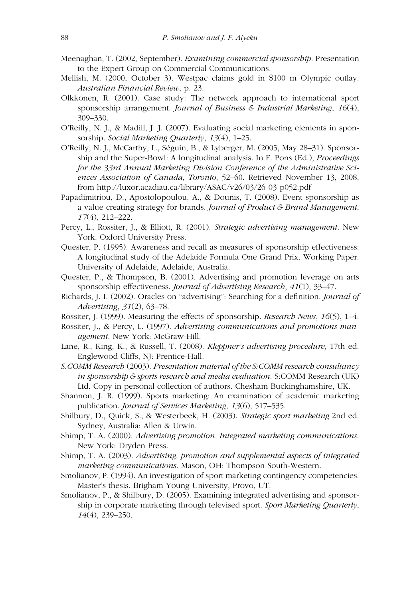- Meenaghan, T. (2002, September). *Examining commercial sponsorship*. Presentation to the Expert Group on Commercial Communications.
- Mellish, M. (2000, October 3). Westpac claims gold in \$100 m Olympic outlay. *Australian Financial Review*, p. 23.
- Olkkonen, R. (2001). Case study: The network approach to international sport sponsorship arrangement. *Journal of Business & Industrial Marketing*, *16*(4), 309–330.
- O'Reilly, N. J., & Madill, J. J. (2007). Evaluating social marketing elements in sponsorship. *Social Marketing Quarterly*, *13*(4), 1–25.
- O'Reilly, N. J., McCarthy, L., Seguin, B., & Lyberger, M. (2005, May 28–31). Sponsor- ´ ship and the Super-Bowl: A longitudinal analysis. In F. Pons (Ed.), *Proceedings for the 33rd Annual Marketing Division Conference of the Administrative Sciences Association of Canada, Toronto*, 52–60. Retrieved November 13, 2008, from http://luxor.acadiau.ca/library/ASAC/v26/03/26 03 p052.pdf
- Papadimitriou, D., Apostolopoulou, A., & Dounis, T. (2008). Event sponsorship as a value creating strategy for brands. *Journal of Product & Brand Management*, *17*(4), 212–222.
- Percy, L., Rossiter, J., & Elliott, R. (2001). *Strategic advertising management*. New York: Oxford University Press.
- Quester, P. (1995). Awareness and recall as measures of sponsorship effectiveness: A longitudinal study of the Adelaide Formula One Grand Prix. Working Paper. University of Adelaide, Adelaide, Australia.
- Quester, P., & Thompson, B. (2001). Advertising and promotion leverage on arts sponsorship effectiveness. *Journal of Advertising Research*, *41*(1), 33–47.
- Richards, J. I. (2002). Oracles on "advertising": Searching for a definition. *Journal of Advertising*, *31*(2), 63–78.
- Rossiter, J. (1999). Measuring the effects of sponsorship. *Research News*, *16*(5), 1–4.
- Rossiter, J., & Percy, L. (1997). *Advertising communications and promotions management*. New York: McGraw-Hill.
- Lane, R., King, K., & Russell, T. (2008). *Kleppner's advertising procedure,* 17th ed. Englewood Cliffs, NJ: Prentice-Hall.
- *S:COMM Research* (2003). *Presentation material of the S:COMM research consultancy in sponsorship & sports research and media evaluation*. S:COMM Research (UK) Ltd. Copy in personal collection of authors. Chesham Buckinghamshire, UK.
- Shannon, J. R. (1999). Sports marketing: An examination of academic marketing publication. *Journal of Services Marketing*, *13*(6), 517–535.
- Shilbury, D., Quick, S., & Westerbeek, H. (2003). *Strategic sport marketing* 2nd ed. Sydney, Australia: Allen & Urwin.
- Shimp, T. A. (2000). *Advertising promotion. Integrated marketing communications*. New York: Dryden Press.
- Shimp, T. A. (2003). *Advertising, promotion and supplemental aspects of integrated marketing communications*. Mason, OH: Thompson South-Western.
- Smolianov, P. (1994). An investigation of sport marketing contingency competencies. Master's thesis. Brigham Young University, Provo, UT.
- Smolianov, P., & Shilbury, D. (2005). Examining integrated advertising and sponsorship in corporate marketing through televised sport. *Sport Marketing Quarterly*, *14*(4), 239–250.